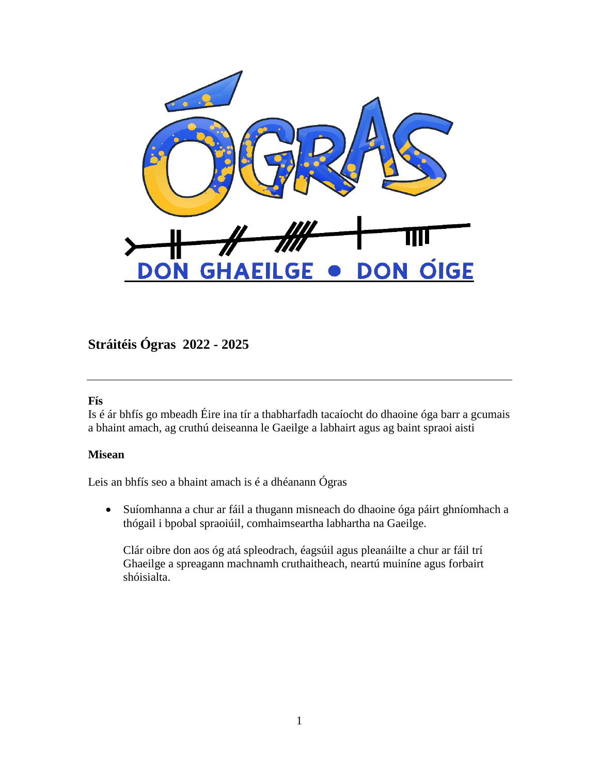

**Stráitéis Ógras 2022 - 2025**

#### **Fís**

Is é ár bhfís go mbeadh Éire ina tír a thabharfadh tacaíocht do dhaoine óga barr a gcumais a bhaint amach, ag cruthú deiseanna le Gaeilge a labhairt agus ag baint spraoi aisti

#### **Misean**

Leis an bhfís seo a bhaint amach is é a dhéanann Ógras

• Suíomhanna a chur ar fáil a thugann misneach do dhaoine óga páirt ghníomhach a thógail i bpobal spraoiúil, comhaimseartha labhartha na Gaeilge.

Clár oibre don aos óg atá spleodrach, éagsúil agus pleanáilte a chur ar fáil trí Ghaeilge a spreagann machnamh cruthaitheach, neartú muiníne agus forbairt shóisialta.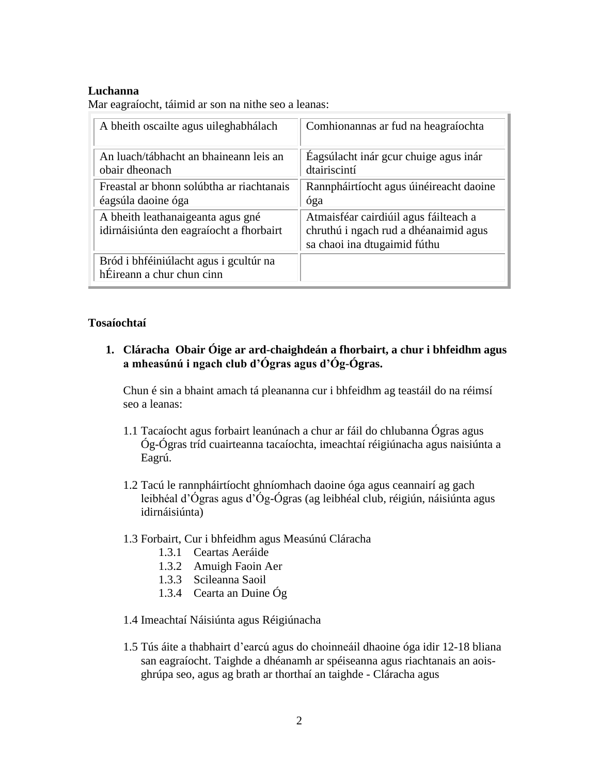## **Luchanna**

Mar eagraíocht, táimid ar son na nithe seo a leanas:

| A bheith oscailte agus uileghabhálach                                         | Comhionannas ar fud na heagraíochta                                                                            |
|-------------------------------------------------------------------------------|----------------------------------------------------------------------------------------------------------------|
| An luach/tábhacht an bhaineann leis an<br>obair dheonach                      | Eagsúlacht inár gcur chuige agus inár<br>dtairiscintí                                                          |
| Freastal ar bhonn solúbtha ar riachtanais<br>éagsúla daoine óga               | Rannpháirtíocht agus úinéireacht daoine<br>óga                                                                 |
| A bheith leathanaigeanta agus gné<br>idirnáisiúnta den eagraíocht a fhorbairt | Atmaisféar cairdiúil agus fáilteach a<br>chruthú i ngach rud a dhéanaimid agus<br>sa chaoi ina dtugaimid fúthu |
| Bród i bhféiniúlacht agus i gcultúr na<br>hÉireann a chur chun cinn           |                                                                                                                |

## **Tosaíochtaí**

**1. Cláracha Obair Óige ar ard-chaighdeán a fhorbairt, a chur i bhfeidhm agus a mheasúnú i ngach club d'Ógras agus d'Óg-Ógras.**

Chun é sin a bhaint amach tá pleananna cur i bhfeidhm ag teastáil do na réimsí seo a leanas:

- 1.1 Tacaíocht agus forbairt leanúnach a chur ar fáil do chlubanna Ógras agus Óg-Ógras tríd cuairteanna tacaíochta, imeachtaí réigiúnacha agus naisiúnta a Eagrú.
- 1.2 Tacú le rannpháirtíocht ghníomhach daoine óga agus ceannairí ag gach leibhéal d'Ógras agus d'Óg-Ógras (ag leibhéal club, réigiún, náisiúnta agus idirnáisiúnta)

#### 1.3 Forbairt, Cur i bhfeidhm agus Measúnú Cláracha

- 1.3.1 Ceartas Aeráide
- 1.3.2 Amuigh Faoin Aer
- 1.3.3 Scileanna Saoil
- 1.3.4 Cearta an Duine Óg
- 1.4 Imeachtaí Náisiúnta agus Réigiúnacha
- 1.5 Tús áite a thabhairt d'earcú agus do choinneáil dhaoine óga idir 12-18 bliana san eagraíocht. Taighde a dhéanamh ar spéiseanna agus riachtanais an aoisghrúpa seo, agus ag brath ar thorthaí an taighde - Cláracha agus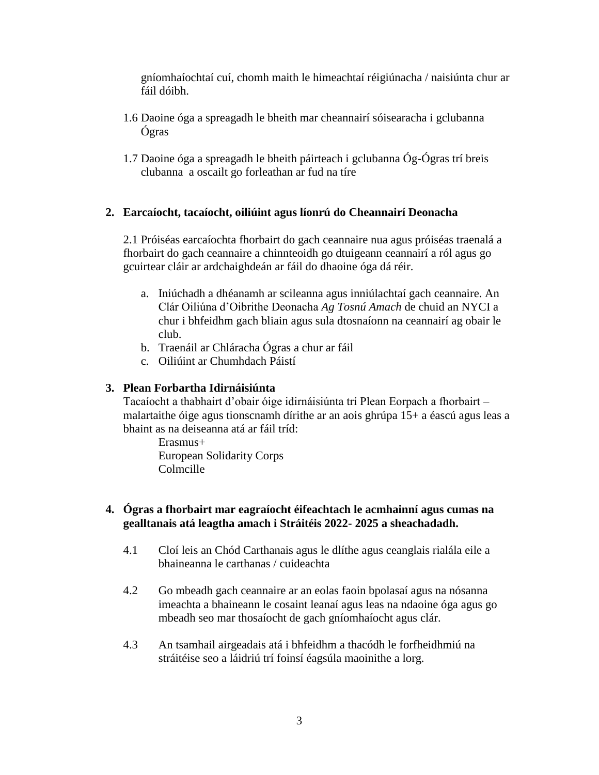gníomhaíochtaí cuí, chomh maith le himeachtaí réigiúnacha / naisiúnta chur ar fáil dóibh.

- 1.6 Daoine óga a spreagadh le bheith mar cheannairí sóisearacha i gclubanna Ógras
- 1.7 Daoine óga a spreagadh le bheith páirteach i gclubanna Óg-Ógras trí breis clubanna a oscailt go forleathan ar fud na tíre

# **2. Earcaíocht, tacaíocht, oiliúint agus líonrú do Cheannairí Deonacha**

2.1 Próiséas earcaíochta fhorbairt do gach ceannaire nua agus próiséas traenalá a fhorbairt do gach ceannaire a chinnteoidh go dtuigeann ceannairí a ról agus go gcuirtear cláir ar ardchaighdeán ar fáil do dhaoine óga dá réir.

- a. Iniúchadh a dhéanamh ar scileanna agus inniúlachtaí gach ceannaire. An Clár Oiliúna d'Oibrithe Deonacha *Ag Tosnú Amach* de chuid an NYCI a chur i bhfeidhm gach bliain agus sula dtosnaíonn na ceannairí ag obair le club.
- b. Traenáil ar Chláracha Ógras a chur ar fáil
- c. Oiliúint ar Chumhdach Páistí

# **3. Plean Forbartha Idirnáisiúnta**

Tacaíocht a thabhairt d'obair óige idirnáisiúnta trí Plean Eorpach a fhorbairt – malartaithe óige agus tionscnamh dírithe ar an aois ghrúpa 15+ a éascú agus leas a bhaint as na deiseanna atá ar fáil tríd:

Erasmus+ European Solidarity Corps Colmcille

## **4. Ógras a fhorbairt mar eagraíocht éifeachtach le acmhainní agus cumas na gealltanais atá leagtha amach i Stráitéis 2022- 2025 a sheachadadh.**

- 4.1 Cloí leis an Chód Carthanais agus le dlíthe agus ceanglais rialála eile a bhaineanna le carthanas / cuideachta
- 4.2 Go mbeadh gach ceannaire ar an eolas faoin bpolasaí agus na nósanna imeachta a bhaineann le cosaint leanaí agus leas na ndaoine óga agus go mbeadh seo mar thosaíocht de gach gníomhaíocht agus clár.
- 4.3 An tsamhail airgeadais atá i bhfeidhm a thacódh le forfheidhmiú na stráitéise seo a láidriú trí foinsí éagsúla maoinithe a lorg.